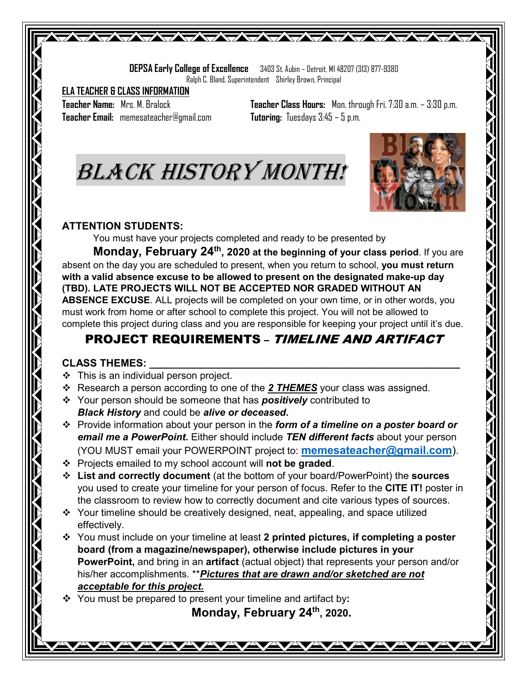**DEPSA Early College of Excellence** 3403 St. Aubin – Detroit, MI 48207 (313) 877-9380 Ralph C. Bland, Superintendent Shirley Brown, Principal

WAYNYAYAYAYAYAYA

**ELA TEACHER & CLASS INFORMATION**

**Teacher Email:** memesateacher@gmail.com **Tutoring:** Tuesdays 3:45 – 5 p.m.

**Teacher Name:** Mrs. M. Bralock **Teacher Class Hours:** Mon. through Fri. 7:30 a.m. – 3:30 p.m.





#### **ATTENTION STUDENTS:**

You must have your projects completed and ready to be presented by

**Monday, February 24<sup>th</sup>, 2020 at the beginning of your class period.** If you are absent on the day you are scheduled to present, when you return to school, **you must return with a valid absence excuse to be allowed to present on the designated make-up day (TBD). LATE PROJECTS WILL NOT BE ACCEPTED NOR GRADED WITHOUT AN ABSENCE EXCUSE**. ALL projects will be completed on your own time, or in other words, you must work from home or after school to complete this project. You will not be allowed to complete this project during class and you are responsible for keeping your project until it's due.

### PROJECT REQUIREMENTS – TIMELINE AND ARTIFACT

#### **CLASS THEMES: \_\_\_\_\_\_\_\_\_\_\_\_\_\_\_\_\_\_\_\_\_\_\_\_\_\_\_\_\_\_\_\_\_\_\_\_\_\_\_\_\_\_\_\_\_\_\_\_\_\_\_\_\_\_**

- $\div$  This is an individual person project.
- Research a person according to one of the *2 THEMES* your class was assigned.
- Your person should be someone that has *positively* contributed to *Black History* and could be *alive or deceased***.**
- Provide information about your person in the *form of a timeline on a poster board or email me a PowerPoint.* Either should include *TEN different facts* about your person (YOU MUST email your POWERPOINT project to: **[memesateacher@gmail.com](mailto:memesateacher@gmail.com)**).
- Projects emailed to my school account will **not be graded**.
- **List and correctly document** (at the bottom of your board/PowerPoint) the **sources** you used to create your timeline for your person of focus. Refer to the **CITE IT!** poster in the classroom to review how to correctly document and cite various types of sources.
- Your timeline should be creatively designed, neat, appealing, and space utilized effectively.
- You must include on your timeline at least **2 printed pictures, if completing a poster board (from a magazine/newspaper), otherwise include pictures in your PowerPoint,** and bring in an **artifact** (actual object) that represents your person and/or his/her accomplishments. \*\**Pictures that are drawn and/or sketched are not acceptable for this project.*
- You must be prepared to present your timeline and artifact by**:**

**Monday, February 24th, 2020.**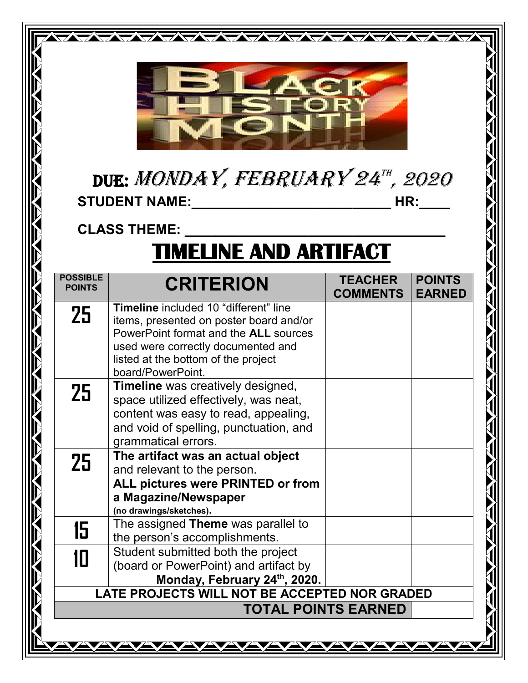

WAYAYAYAYAYAYAYAYA

## due: MONDAY, FEBRUARY 24th, 2020 **STUDENT NAME:\_\_\_\_\_\_\_\_\_\_\_\_\_\_\_\_\_\_\_\_\_\_\_\_\_\_ HR:\_\_\_\_**

## **CLASS THEME: \_\_\_\_\_\_\_\_\_\_\_\_\_\_\_\_\_\_\_\_\_\_\_\_\_\_\_\_\_\_\_\_\_\_**

## **TIMELINE AND ARTIFACT**

| <b>POSSIBLE</b><br><b>POINTS</b>                                            | <b>CRITERION</b>                                                                                                                                                                                                                          | <b>TEACHER</b><br><b>COMMENTS</b> | <b>POINTS</b><br><b>EARNED</b> |
|-----------------------------------------------------------------------------|-------------------------------------------------------------------------------------------------------------------------------------------------------------------------------------------------------------------------------------------|-----------------------------------|--------------------------------|
| 25                                                                          | <b>Timeline</b> included 10 "different" line<br>items, presented on poster board and/or<br>PowerPoint format and the <b>ALL</b> sources<br>used were correctly documented and<br>listed at the bottom of the project<br>board/PowerPoint. |                                   |                                |
| 25                                                                          | <b>Timeline</b> was creatively designed,<br>space utilized effectively, was neat,<br>content was easy to read, appealing,<br>and void of spelling, punctuation, and<br>grammatical errors.                                                |                                   |                                |
| 25                                                                          | The artifact was an actual object<br>and relevant to the person.<br>ALL pictures were PRINTED or from<br>a Magazine/Newspaper<br>(no drawings/sketches).                                                                                  |                                   |                                |
| 15                                                                          | The assigned Theme was parallel to<br>the person's accomplishments.                                                                                                                                                                       |                                   |                                |
| 10                                                                          | Student submitted both the project<br>(board or PowerPoint) and artifact by<br>Monday, February 24th, 2020.                                                                                                                               |                                   |                                |
| LATE PROJECTS WILL NOT BE ACCEPTED NOR GRADED<br><b>TOTAL POINTS EARNED</b> |                                                                                                                                                                                                                                           |                                   |                                |
|                                                                             |                                                                                                                                                                                                                                           |                                   |                                |